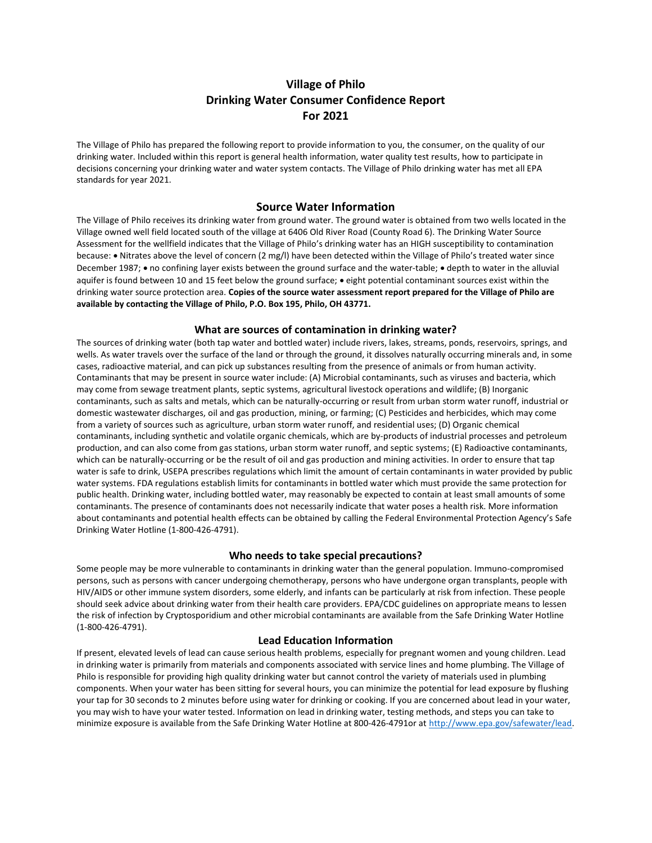# Village of Philo Drinking Water Consumer Confidence Report For 2021

The Village of Philo has prepared the following report to provide information to you, the consumer, on the quality of our drinking water. Included within this report is general health information, water quality test results, how to participate in decisions concerning your drinking water and water system contacts. The Village of Philo drinking water has met all EPA standards for year 2021.

# Source Water Information

The Village of Philo receives its drinking water from ground water. The ground water is obtained from two wells located in the Village owned well field located south of the village at 6406 Old River Road (County Road 6). The Drinking Water Source Assessment for the wellfield indicates that the Village of Philo's drinking water has an HIGH susceptibility to contamination because: Nitrates above the level of concern (2 mg/l) have been detected within the Village of Philo's treated water since December 1987; • no confining layer exists between the ground surface and the water-table; • depth to water in the alluvial aquifer is found between 10 and 15 feet below the ground surface;  $\bullet$  eight potential contaminant sources exist within the drinking water source protection area. Copies of the source water assessment report prepared for the Village of Philo are available by contacting the Village of Philo, P.O. Box 195, Philo, OH 43771.

# What are sources of contamination in drinking water?

The sources of drinking water (both tap water and bottled water) include rivers, lakes, streams, ponds, reservoirs, springs, and wells. As water travels over the surface of the land or through the ground, it dissolves naturally occurring minerals and, in some cases, radioactive material, and can pick up substances resulting from the presence of animals or from human activity. Contaminants that may be present in source water include: (A) Microbial contaminants, such as viruses and bacteria, which may come from sewage treatment plants, septic systems, agricultural livestock operations and wildlife; (B) Inorganic contaminants, such as salts and metals, which can be naturally-occurring or result from urban storm water runoff, industrial or domestic wastewater discharges, oil and gas production, mining, or farming; (C) Pesticides and herbicides, which may come from a variety of sources such as agriculture, urban storm water runoff, and residential uses; (D) Organic chemical contaminants, including synthetic and volatile organic chemicals, which are by-products of industrial processes and petroleum production, and can also come from gas stations, urban storm water runoff, and septic systems; (E) Radioactive contaminants, which can be naturally-occurring or be the result of oil and gas production and mining activities. In order to ensure that tap water is safe to drink, USEPA prescribes regulations which limit the amount of certain contaminants in water provided by public water systems. FDA regulations establish limits for contaminants in bottled water which must provide the same protection for public health. Drinking water, including bottled water, may reasonably be expected to contain at least small amounts of some contaminants. The presence of contaminants does not necessarily indicate that water poses a health risk. More information about contaminants and potential health effects can be obtained by calling the Federal Environmental Protection Agency's Safe Drinking Water Hotline (1-800-426-4791).

# Who needs to take special precautions?

Some people may be more vulnerable to contaminants in drinking water than the general population. Immuno-compromised persons, such as persons with cancer undergoing chemotherapy, persons who have undergone organ transplants, people with HIV/AIDS or other immune system disorders, some elderly, and infants can be particularly at risk from infection. These people should seek advice about drinking water from their health care providers. EPA/CDC guidelines on appropriate means to lessen the risk of infection by Cryptosporidium and other microbial contaminants are available from the Safe Drinking Water Hotline (1-800-426-4791).

#### Lead Education Information

If present, elevated levels of lead can cause serious health problems, especially for pregnant women and young children. Lead in drinking water is primarily from materials and components associated with service lines and home plumbing. The Village of Philo is responsible for providing high quality drinking water but cannot control the variety of materials used in plumbing components. When your water has been sitting for several hours, you can minimize the potential for lead exposure by flushing your tap for 30 seconds to 2 minutes before using water for drinking or cooking. If you are concerned about lead in your water, you may wish to have your water tested. Information on lead in drinking water, testing methods, and steps you can take to minimize exposure is available from the Safe Drinking Water Hotline at 800-426-4791or at http://www.epa.gov/safewater/lead.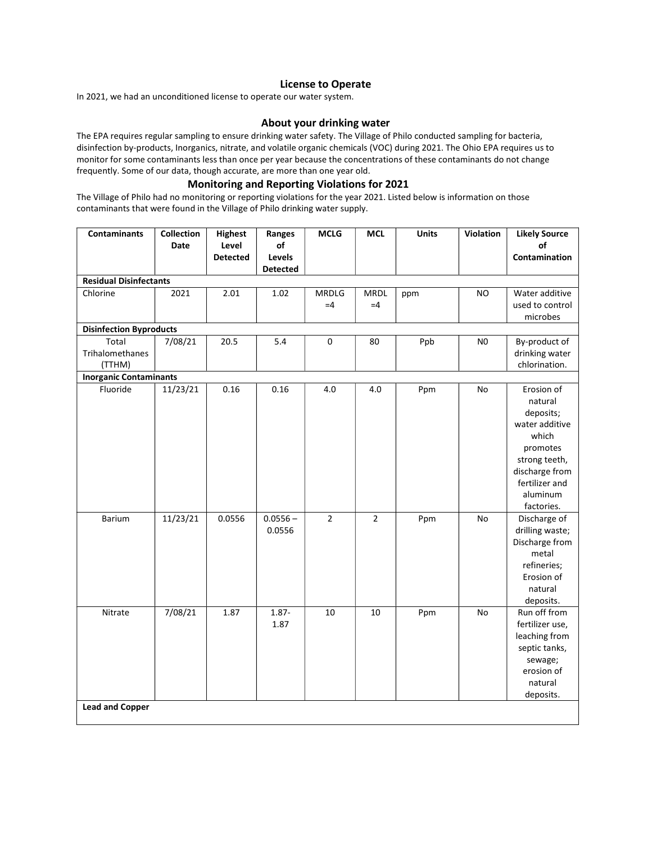#### License to Operate

In 2021, we had an unconditioned license to operate our water system.

### About your drinking water

The EPA requires regular sampling to ensure drinking water safety. The Village of Philo conducted sampling for bacteria, disinfection by-products, Inorganics, nitrate, and volatile organic chemicals (VOC) during 2021. The Ohio EPA requires us to monitor for some contaminants less than once per year because the concentrations of these contaminants do not change frequently. Some of our data, though accurate, are more than one year old.

# Monitoring and Reporting Violations for 2021

The Village of Philo had no monitoring or reporting violations for the year 2021. Listed below is information on those contaminants that were found in the Village of Philo drinking water supply.

| <b>Contaminants</b>                | Collection<br><b>Date</b> | <b>Highest</b><br>Level<br><b>Detected</b> | Ranges<br>of<br>Levels<br><b>Detected</b> | <b>MCLG</b>           | <b>MCL</b>            | <b>Units</b> | Violation      | <b>Likely Source</b><br>of<br>Contamination                                                                                                                                                 |  |  |  |  |
|------------------------------------|---------------------------|--------------------------------------------|-------------------------------------------|-----------------------|-----------------------|--------------|----------------|---------------------------------------------------------------------------------------------------------------------------------------------------------------------------------------------|--|--|--|--|
| <b>Residual Disinfectants</b>      |                           |                                            |                                           |                       |                       |              |                |                                                                                                                                                                                             |  |  |  |  |
| Chlorine                           | 2021                      | 2.01                                       | 1.02                                      | <b>MRDLG</b><br>$=4$  | <b>MRDL</b><br>$=4$   | ppm          | <b>NO</b>      | Water additive<br>used to control<br>microbes                                                                                                                                               |  |  |  |  |
| <b>Disinfection Byproducts</b>     |                           |                                            |                                           |                       |                       |              |                |                                                                                                                                                                                             |  |  |  |  |
| Total<br>Trihalomethanes<br>(TTHM) | 7/08/21                   | 20.5                                       | 5.4                                       | $\pmb{0}$             | 80                    | Ppb          | N <sub>0</sub> | By-product of<br>drinking water<br>chlorination.                                                                                                                                            |  |  |  |  |
| <b>Inorganic Contaminants</b>      |                           |                                            |                                           |                       |                       |              |                |                                                                                                                                                                                             |  |  |  |  |
| Fluoride<br>Barium                 | 11/23/21<br>11/23/21      | 0.16<br>0.0556                             | 0.16<br>$0.0556 -$<br>0.0556              | 4.0<br>$\overline{2}$ | 4.0<br>$\overline{2}$ | Ppm<br>Ppm   | No<br>No       | Erosion of<br>natural<br>deposits;<br>water additive<br>which<br>promotes<br>strong teeth,<br>discharge from<br>fertilizer and<br>aluminum<br>factories.<br>Discharge of<br>drilling waste; |  |  |  |  |
| Nitrate                            | 7/08/21                   | 1.87                                       | $1.87 -$                                  | 10                    | 10                    |              |                | Discharge from<br>metal<br>refineries;<br>Erosion of<br>natural<br>deposits.<br>Run off from                                                                                                |  |  |  |  |
| <b>Lead and Copper</b>             |                           |                                            | 1.87                                      |                       |                       | Ppm          | No             | fertilizer use,<br>leaching from<br>septic tanks,<br>sewage;<br>erosion of<br>natural<br>deposits.                                                                                          |  |  |  |  |
|                                    |                           |                                            |                                           |                       |                       |              |                |                                                                                                                                                                                             |  |  |  |  |